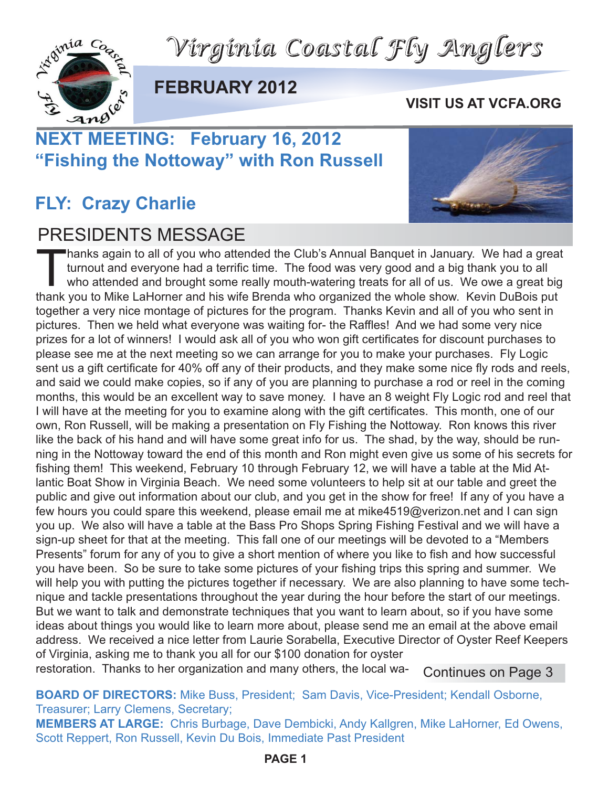*Virginia Coastal Fly Anglers*



#### **FEBRUARY 2012**

#### **VISIT US AT VCFA.ORG**

## **NEXT MEETING: February 16, 2012 "Fishing the Nottoway" with Ron Russell**

#### **FLY: Crazy Charlie**

#### PRESIDENTS MESSAGE



"hanks again to all of you who attended the Club's Annual Banquet in January. We had a great turnout and everyone had a terrific time. The food was very good and a big thank you to all who attended and brought some really mouth-watering treats for all of us. We owe a great big thank you to Mike LaHorner and his wife Brenda who organized the whole show. Kevin DuBois put together a very nice montage of pictures for the program. Thanks Kevin and all of you who sent in pictures. Then we held what everyone was waiting for- the Raffles! And we had some very nice prizes for a lot of winners! I would ask all of you who won gift certificates for discount purchases to please see me at the next meeting so we can arrange for you to make your purchases. Fly Logic sent us a gift certificate for 40% off any of their products, and they make some nice fly rods and reels, and said we could make copies, so if any of you are planning to purchase a rod or reel in the coming months, this would be an excellent way to save money. I have an 8 weight Fly Logic rod and reel that I will have at the meeting for you to examine along with the gift certificates. This month, one of our own, Ron Russell, will be making a presentation on Fly Fishing the Nottoway. Ron knows this river like the back of his hand and will have some great info for us. The shad, by the way, should be running in the Nottoway toward the end of this month and Ron might even give us some of his secrets for fishing them! This weekend, February 10 through February 12, we will have a table at the Mid Atlantic Boat Show in Virginia Beach. We need some volunteers to help sit at our table and greet the public and give out information about our club, and you get in the show for free! If any of you have a few hours you could spare this weekend, please email me at mike4519@verizon.net and I can sign you up. We also will have a table at the Bass Pro Shops Spring Fishing Festival and we will have a sign-up sheet for that at the meeting. This fall one of our meetings will be devoted to a "Members Presents" forum for any of you to give a short mention of where you like to fish and how successful you have been. So be sure to take some pictures of your fishing trips this spring and summer. We will help you with putting the pictures together if necessary. We are also planning to have some technique and tackle presentations throughout the year during the hour before the start of our meetings. But we want to talk and demonstrate techniques that you want to learn about, so if you have some ideas about things you would like to learn more about, please send me an email at the above email address. We received a nice letter from Laurie Sorabella, Executive Director of Oyster Reef Keepers of Virginia, asking me to thank you all for our \$100 donation for oyster

restoration. Thanks to her organization and many others, the local wa-

Continues on Page 3

**BOARD OF DIRECTORS:** Mike Buss, President; Sam Davis, Vice-President; Kendall Osborne, Treasurer; Larry Clemens, Secretary;

**MEMBERS AT LARGE:** Chris Burbage, Dave Dembicki, Andy Kallgren, Mike LaHorner, Ed Owens, Scott Reppert, Ron Russell, Kevin Du Bois, Immediate Past President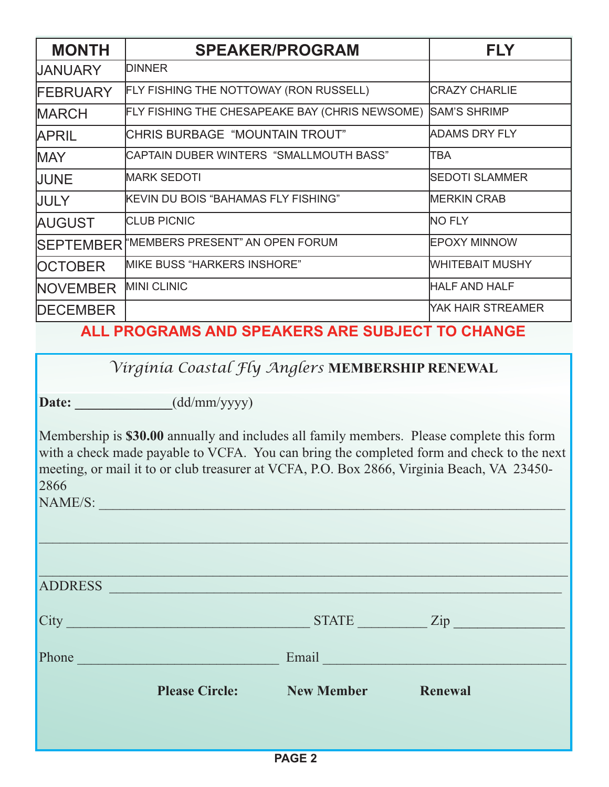| <b>MONTH</b>     | <b>SPEAKER/PROGRAM</b>                          | <b>FLY</b>            |
|------------------|-------------------------------------------------|-----------------------|
| <b>UANUARY</b>   | <b>IDINNER</b>                                  |                       |
| <b>FEBRUARY</b>  | FLY FISHING THE NOTTOWAY (RON RUSSELL)          | <b>ICRAZY CHARLIE</b> |
| <b>MARCH</b>     | FLY FISHING THE CHESAPEAKE BAY (CHRIS NEWSOME)  | <b>SAM'S SHRIMP</b>   |
| <b>APRIL</b>     | <b>CHRIS BURBAGE "MOUNTAIN TROUT"</b>           | <b>ADAMS DRY FLY</b>  |
| <b>MAY</b>       | CAPTAIN DUBER WINTERS  "SMALLMOUTH BASS"        | <b>TBA</b>            |
| <b>JUNE</b>      | <b>MARK SEDOTI</b>                              | <b>SEDOTI SLAMMER</b> |
| <b>JULY</b>      | İKEVIN DU BOIS "BAHAMAS FLY FISHING"            | <b>MERKIN CRAB</b>    |
| <b>AUGUST</b>    | <b>CLUB PICNIC</b>                              | <b>NO FLY</b>         |
| <b>SEPTEMBER</b> | "MEMBERS PRESENT" AN OPEN FORUM                 | <b>EPOXY MINNOW</b>   |
| <b>OCTOBER</b>   | MIKE BUSS "HARKERS INSHORE"                     | WHITEBAIT MUSHY       |
| <b>NOVEMBER</b>  | <b>MINI CLINIC</b>                              | <b>HALF AND HALF</b>  |
| <b>DECEMBER</b>  |                                                 | YAK HAIR STREAMER     |
|                  | ALL PROGRAMS AND SPEAKERS ARE SUBJECT TO CHANGE |                       |

*Virginia Coastal Fly Anglers* **MEMBERSHIP RENEWAL**

**Date: \_\_\_\_\_\_\_\_\_\_\_\_\_\_**(dd/mm/yyyy)

Membership is **\$30.00** annually and includes all family members. Please complete this form with a check made payable to VCFA. You can bring the completed form and check to the next meeting, or mail it to or club treasurer at VCFA, P.O. Box 2866, Virginia Beach, VA 23450- 2866

NAME/S:

| <b>ADDRESS</b> | <u> 1980 - Johann Barbara, martxa alemaniar amerikan a</u> |                                                                                                                                                                                                                               |         |
|----------------|------------------------------------------------------------|-------------------------------------------------------------------------------------------------------------------------------------------------------------------------------------------------------------------------------|---------|
| City           | <u> 1978 - Johann Barbara, martin a</u>                    | $STATE$ $Zip$                                                                                                                                                                                                                 |         |
| Phone          |                                                            | Email Property of the Community of the Community of the Community of the Community of the Community of the Community of the Community of the Community of the Community of the Community of the Community of the Community of |         |
|                | <b>Please Circle:</b>                                      | <b>New Member</b>                                                                                                                                                                                                             | Renewal |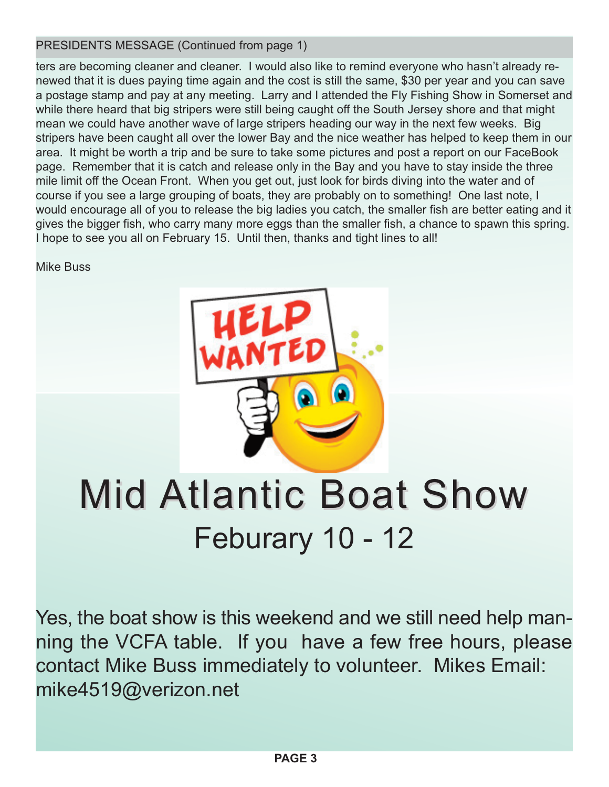PRESIDENTS MESSAGE (Continued from page 1)

ters are becoming cleaner and cleaner. I would also like to remind everyone who hasn't already renewed that it is dues paying time again and the cost is still the same, \$30 per year and you can save a postage stamp and pay at any meeting. Larry and I attended the Fly Fishing Show in Somerset and while there heard that big stripers were still being caught off the South Jersey shore and that might mean we could have another wave of large stripers heading our way in the next few weeks. Big stripers have been caught all over the lower Bay and the nice weather has helped to keep them in our area. It might be worth a trip and be sure to take some pictures and post a report on our FaceBook page. Remember that it is catch and release only in the Bay and you have to stay inside the three mile limit off the Ocean Front. When you get out, just look for birds diving into the water and of course if you see a large grouping of boats, they are probably on to something! One last note, I would encourage all of you to release the big ladies you catch, the smaller fish are better eating and it gives the bigger fish, who carry many more eggs than the smaller fish, a chance to spawn this spring. I hope to see you all on February 15. Until then, thanks and tight lines to all!

Mike Buss



## **Mid Atlantic Boat Show** Feburary 10 - 12

Yes, the boat show is this weekend and we still need help manning the VCFA table. If you have a few free hours, please contact Mike Buss immediately to volunteer. Mikes Email: mike4519@verizon.net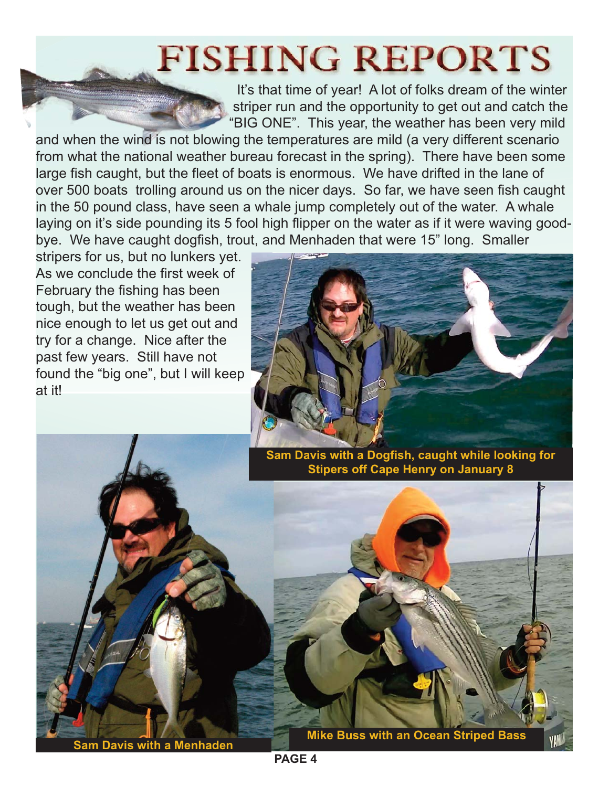### **FISHING REPORTS**

It's that time of year! A lot of folks dream of the winter striper run and the opportunity to get out and catch the "BIG ONE". This year, the weather has been very mild

and when the wind is not blowing the temperatures are mild (a very different scenario from what the national weather bureau forecast in the spring). There have been some large fish caught, but the fleet of boats is enormous. We have drifted in the lane of over 500 boats trolling around us on the nicer days. So far, we have seen fish caught in the 50 pound class, have seen a whale jump completely out of the water. A whale laying on it's side pounding its 5 fool high flipper on the water as if it were waving goodbye. We have caught dogfish, trout, and Menhaden that were 15" long. Smaller

stripers for us, but no lunkers yet. As we conclude the first week of February the fishing has been tough, but the weather has been nice enough to let us get out and try for a change. Nice after the past few years. Still have not found the "big one", but I will keep at it!



**Sam Davis with a Dogfish, caught while looking for Stipers off Cape Henry on January 8**



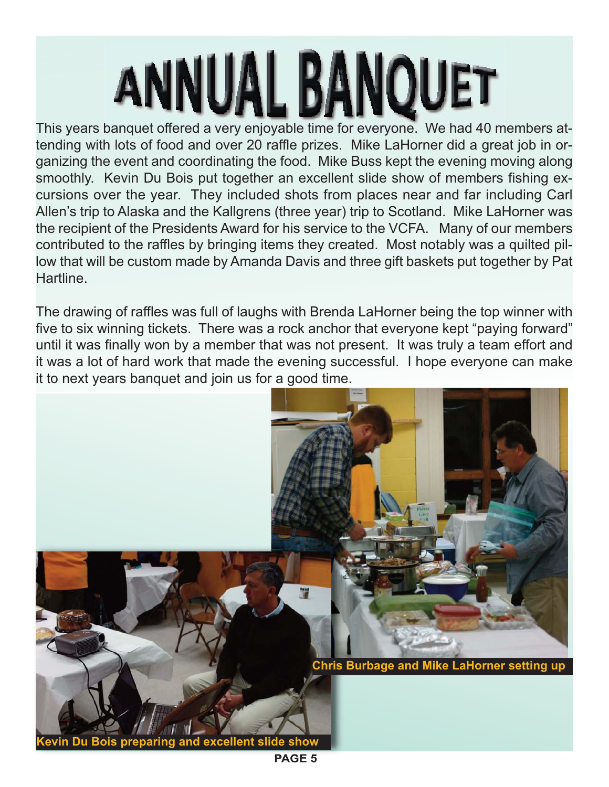# **ANNUAL BANOUET**

This years banquet offered a very enjoyable time for everyone. We had 40 members attending with lots of food and over 20 raffle prizes. Mike LaHorner did a great job in organizing the event and coordinating the food. Mike Buss kept the evening moving along smoothly. Kevin Du Bois put together an excellent slide show of members fishing excursions over the year. They included shots from places near and far including Carl Allen's trip to Alaska and the Kallgrens (three year) trip to Scotland. Mike LaHorner was the recipient of the Presidents Award for his service to the VCFA. Many of our members contributed to the raffles by bringing items they created. Most notably was a quilted pillow that will be custom made by Amanda Davis and three gift baskets put together by Pat **Hartline** 

The drawing of raffles was full of laughs with Brenda LaHorner being the top winner with five to six winning tickets. There was a rock anchor that everyone kept "paying forward" until it was finally won by a member that was not present. It was truly a team effort and it was a lot of hard work that made the evening successful. I hope everyone can make it to next years banquet and join us for a good time.



**PAGE 5**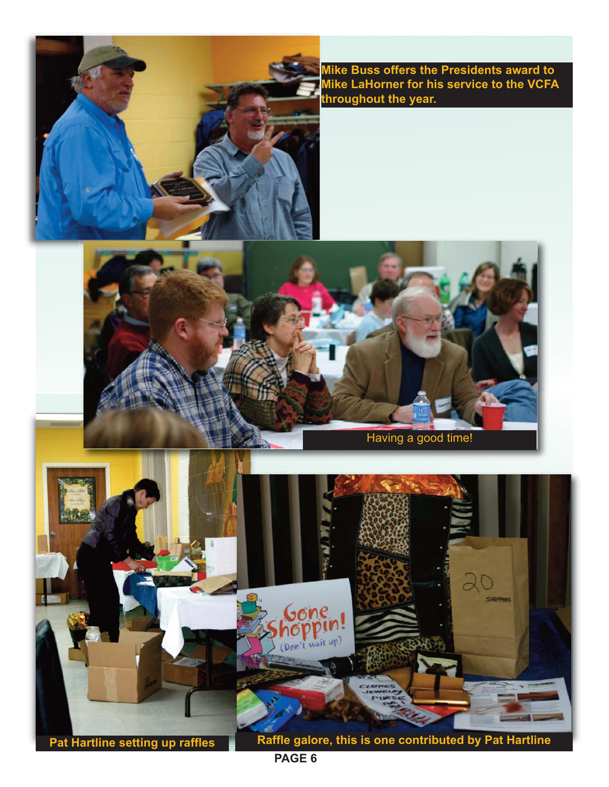

**Mike Buss offers the Presidents award to Mike LaHorner for his service to the VCFA throughout the year.**



**Pat Hartline setting up raffles Raffle galore, this is one contributed by Pat Hartline** 

**PAGE 6**